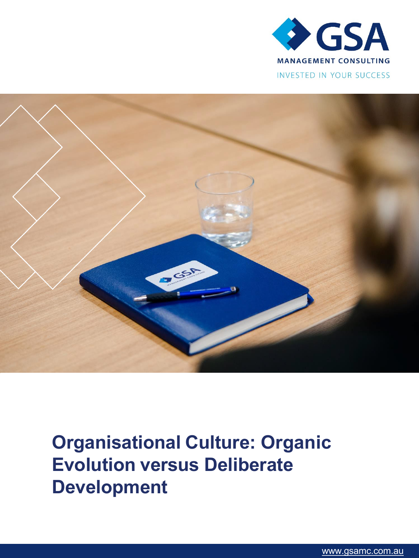



**Organisational Culture: Organic Evolution versus Deliberate Development**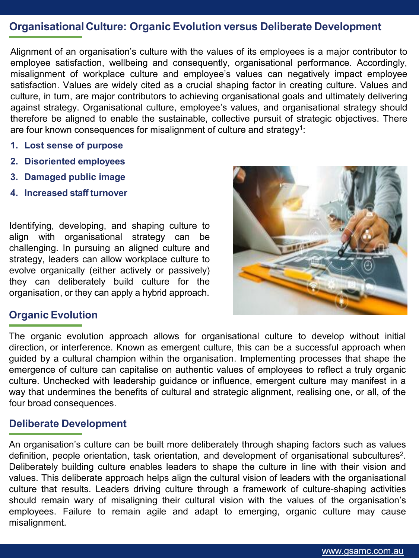### **Organisational Culture: Organic Evolution versus Deliberate Development**

Alignment of an organisation's culture with the values of its employees is a major contributor to employee satisfaction, wellbeing and consequently, organisational performance. Accordingly, misalignment of workplace culture and employee's values can negatively impact employee satisfaction. Values are widely cited as a crucial shaping factor in creating culture. Values and culture, in turn, are major contributors to achieving organisational goals and ultimately delivering against strategy. Organisational culture, employee's values, and organisational strategy should therefore be aligned to enable the sustainable, collective pursuit of strategic objectives. There are four known consequences for misalignment of culture and strategy<sup>1</sup>:

- **1. Lost sense of purpose**
- **2. Disoriented employees**
- **3. Damaged public image**
- **4. Increased staff turnover**

Identifying, developing, and shaping culture to align with organisational strategy can be challenging. In pursuing an aligned culture and strategy, leaders can allow workplace culture to evolve organically (either actively or passively) they can deliberately build culture for the organisation, or they can apply a hybrid approach.



#### **Organic Evolution**

The organic evolution approach allows for organisational culture to develop without initial direction, or interference. Known as emergent culture, this can be a successful approach when guided by a cultural champion within the organisation. Implementing processes that shape the emergence of culture can capitalise on authentic values of employees to reflect a truly organic culture. Unchecked with leadership guidance or influence, emergent culture may manifest in a way that undermines the benefits of cultural and strategic alignment, realising one, or all, of the four broad consequences.

#### **Deliberate Development**

An organisation's culture can be built more deliberately through shaping factors such as values definition, people orientation, task orientation, and development of organisational subcultures<sup>2</sup>. Deliberately building culture enables leaders to shape the culture in line with their vision and values. This deliberate approach helps align the cultural vision of leaders with the organisational culture that results. Leaders driving culture through a framework of culture-shaping activities should remain wary of misaligning their cultural vision with the values of the organisation's employees. Failure to remain agile and adapt to emerging, organic culture may cause misalignment.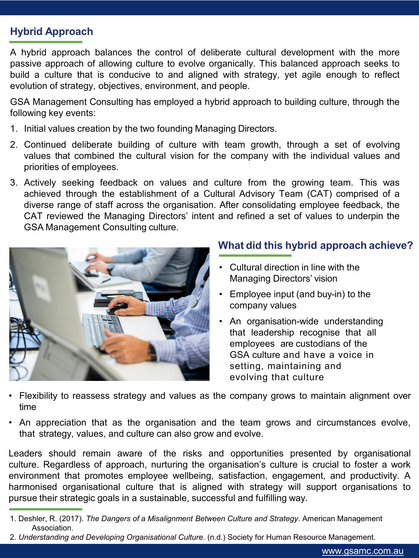# **Hybrid Approach**

A hybrid approach balances the control of deliberate cultural development with the more passive approach of allowing culture to evolve organically. This balanced approach seeks to build a culture that is conducive to and aligned with strategy, yet agile enough to reflect evolution of strategy, objectives, environment, and people.

GSA Management Consulting has employed a hybrid approach to building culture, through the following key events:

- 1. Initial values creation by the two founding Managing Directors.
- 2. Continued deliberate building of culture with team growth, through a set of evolving values that combined the cultural vision for the company with the individual values and priorities of employees.
- 3. Actively seeking feedback on values and culture from the growing team. This was achieved through the establishment of a Cultural Advisory Team (CAT) comprised of a diverse range of staff across the organisation. After consolidating employee feedback, the CAT reviewed the Managing Directors' intent and refined a set of values to underpin the GSA Management Consulting culture.



## **What did this hybrid approach achieve?**

- Cultural direction in line with the Managing Directors' vision
- Employee input (and buy-in) to the company values
- An organisation-wide understanding that leadership recognise that all employees are custodians of the GSA culture and have a voice in setting, maintaining and evolving that culture
- Flexibility to reassess strategy and values as the company grows to maintain alignment over time
- An appreciation that as the organisation and the team grows and circumstances evolve, that strategy, values, and culture can also grow and evolve.

Leaders should remain aware of the risks and opportunities presented by organisational culture. Regardless of approach, nurturing the organisation's culture is crucial to foster a work environment that promotes employee wellbeing, satisfaction, engagement, and productivity. A harmonised organisational culture that is aligned with strategy will support organisations to pursue their strategic goals in a sustainable, successful and fulfilling way.

<sup>1.</sup> Deshler, R. (2017). *The Dangers of a Misalignment Between Culture and Strategy*. American Management Association.

<sup>2.</sup> *Understanding and Developing Organisational Culture*. (n.d.) Society for Human Resource Management.